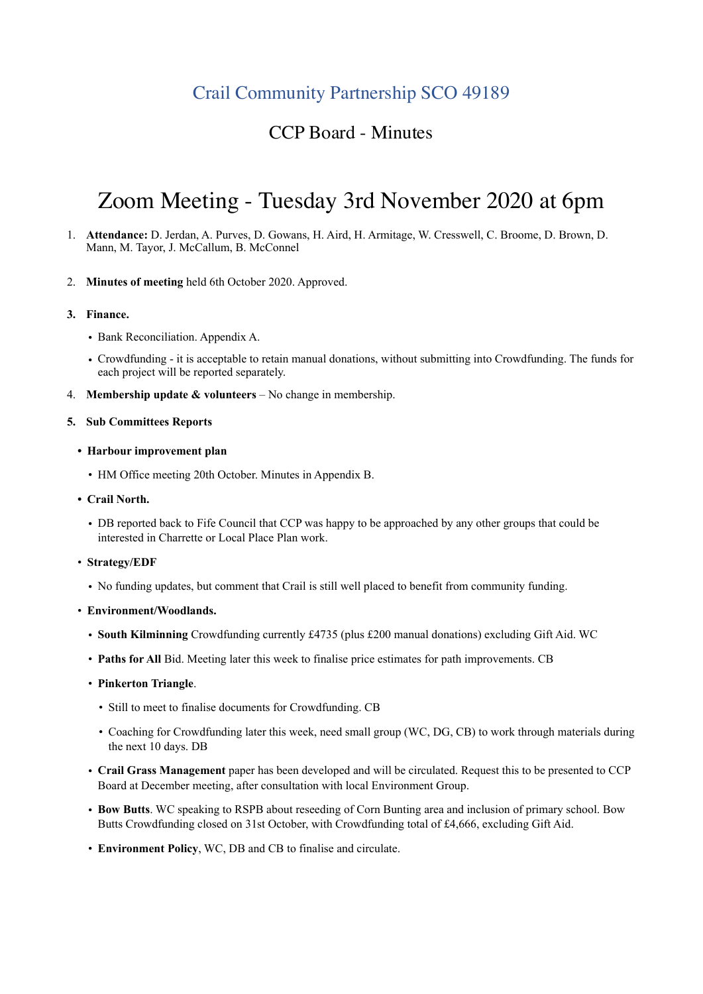# Crail Community Partnership SCO 49189

# CCP Board - Minutes

# Zoom Meeting - Tuesday 3rd November 2020 at 6pm

- 1. **Attendance:** D. Jerdan, A. Purves, D. Gowans, H. Aird, H. Armitage, W. Cresswell, C. Broome, D. Brown, D. Mann, M. Tayor, J. McCallum, B. McConnel
- 2. **Minutes of meeting** held 6th October 2020. Approved.
- **3. Finance.** 
	- Bank Reconciliation. Appendix A.
	- Crowdfunding it is acceptable to retain manual donations, without submitting into Crowdfunding. The funds for each project will be reported separately.
- 4. **Membership update & volunteers**  No change in membership.
- **5. Sub Committees Reports** 
	- **• Harbour improvement plan** 
		- HM Office meeting 20th October. Minutes in Appendix B.
	- **• Crail North.** 
		- DB reported back to Fife Council that CCP was happy to be approached by any other groups that could be interested in Charrette or Local Place Plan work.
	- **Strategy/EDF** 
		- No funding updates, but comment that Crail is still well placed to benefit from community funding.
	- **Environment/Woodlands.**
		- **South Kilminning** Crowdfunding currently £4735 (plus £200 manual donations) excluding Gift Aid. WC
		- **Paths for All** Bid. Meeting later this week to finalise price estimates for path improvements. CB
		- **Pinkerton Triangle**.
			- Still to meet to finalise documents for Crowdfunding. CB
			- Coaching for Crowdfunding later this week, need small group (WC, DG, CB) to work through materials during the next 10 days. DB
		- **Crail Grass Management** paper has been developed and will be circulated. Request this to be presented to CCP Board at December meeting, after consultation with local Environment Group.
		- **Bow Butts**. WC speaking to RSPB about reseeding of Corn Bunting area and inclusion of primary school. Bow Butts Crowdfunding closed on 31st October, with Crowdfunding total of £4,666, excluding Gift Aid.
		- **Environment Policy**, WC, DB and CB to finalise and circulate.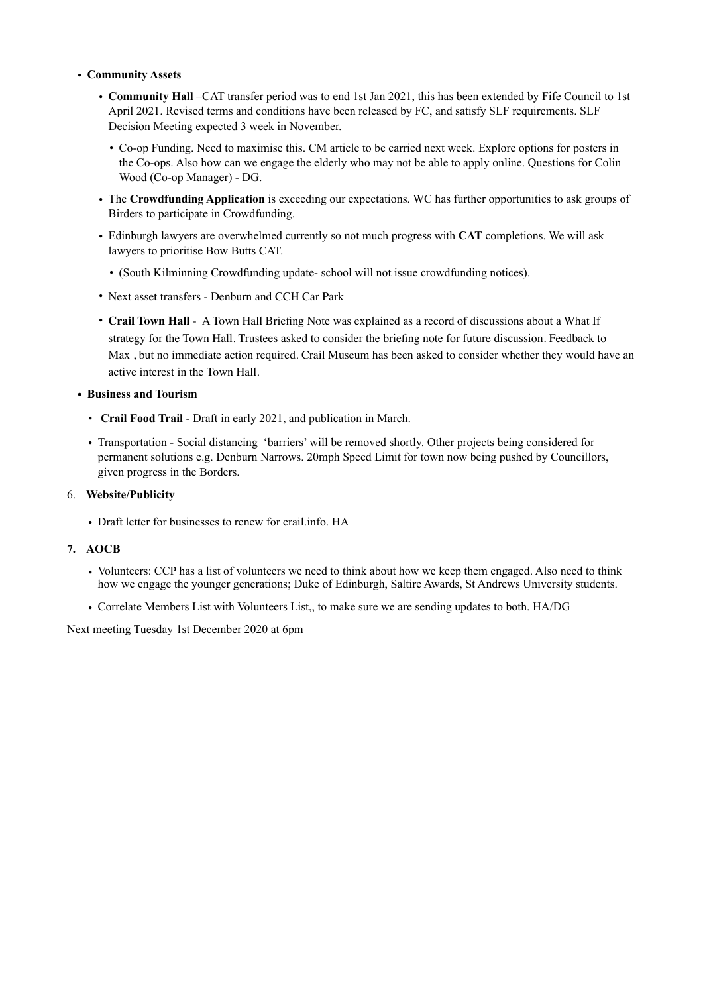#### • **Community Assets**

- **Community Hall** –CAT transfer period was to end 1st Jan 2021, this has been extended by Fife Council to 1st April 2021. Revised terms and conditions have been released by FC, and satisfy SLF requirements. SLF Decision Meeting expected 3 week in November.
	- Co-op Funding. Need to maximise this. CM article to be carried next week. Explore options for posters in the Co-ops. Also how can we engage the elderly who may not be able to apply online. Questions for Colin Wood (Co-op Manager) - DG.
- The **Crowdfunding Application** is exceeding our expectations. WC has further opportunities to ask groups of Birders to participate in Crowdfunding.
- Edinburgh lawyers are overwhelmed currently so not much progress with **CAT** completions. We will ask lawyers to prioritise Bow Butts CAT.
	- (South Kilminning Crowdfunding update- school will not issue crowdfunding notices).
- Next asset transfers Denburn and CCH Car Park
- **Crail Town Hall** A Town Hall Briefing Note was explained as a record of discussions about a What If strategy for the Town Hall. Trustees asked to consider the briefing note for future discussion. Feedback to Max , but no immediate action required. Crail Museum has been asked to consider whether they would have an active interest in the Town Hall.

**• Business and Tourism** 

- **Crail Food Trail** Draft in early 2021, and publication in March.
- Transportation Social distancing 'barriers' will be removed shortly. Other projects being considered for permanent solutions e.g. Denburn Narrows. 20mph Speed Limit for town now being pushed by Councillors, given progress in the Borders.

#### 6. **Website/Publicity**

• Draft letter for businesses to renew for [crail.info](http://crail.info). HA

#### **7. AOCB**

- Volunteers: CCP has a list of volunteers we need to think about how we keep them engaged. Also need to think how we engage the younger generations; Duke of Edinburgh, Saltire Awards, St Andrews University students.
- Correlate Members List with Volunteers List,, to make sure we are sending updates to both. HA/DG

Next meeting Tuesday 1st December 2020 at 6pm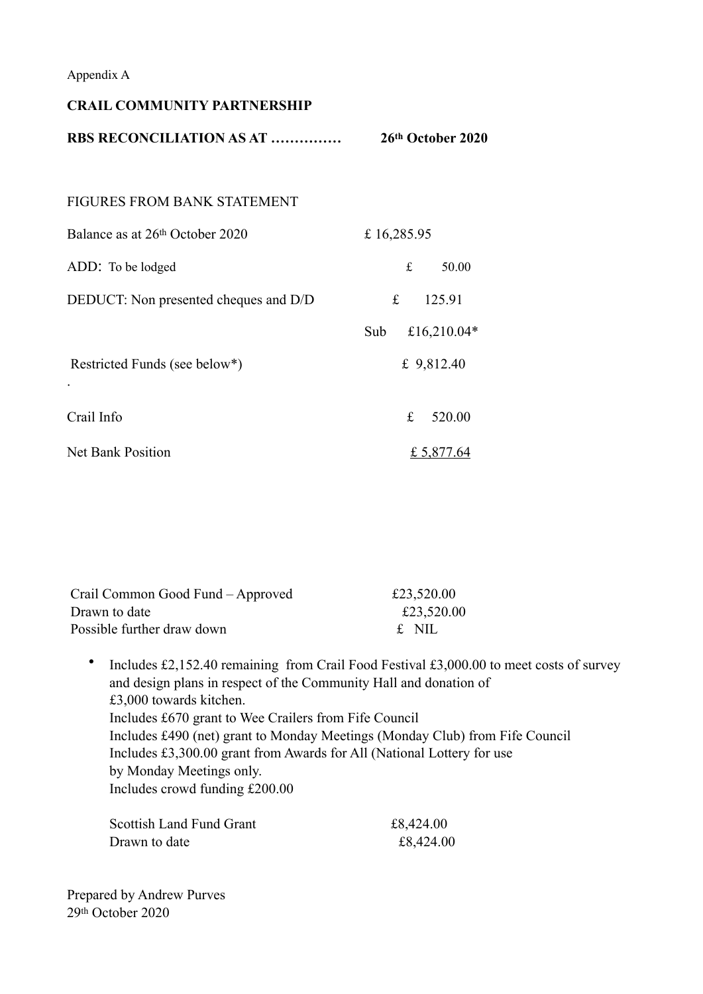Appendix A

| <b>CRAIL COMMUNITY PARTNERSHIP</b>    |                       |
|---------------------------------------|-----------------------|
| <b>RBS RECONCILIATION AS AT </b>      | 26th October 2020     |
| <b>FIGURES FROM BANK STATEMENT</b>    |                       |
| Balance as at 26th October 2020       | £16,285.95            |
| ADD: To be lodged                     | $f_{\cdot}$<br>50.00  |
| DEDUCT: Non presented cheques and D/D | f(x)<br>125.91        |
|                                       | Sub<br>£16,210.04 $*$ |
| Restricted Funds (see below*)         | £ 9,812.40            |
| Crail Info                            | f(x)<br>520.00        |
| <b>Net Bank Position</b>              | £ 5,877.64            |
|                                       |                       |

| Crail Common Good Fund – Approved | £23,520.00 |
|-----------------------------------|------------|
| Drawn to date                     | £23,520.00 |
| Possible further draw down        | $f$ NIL    |

• Includes £2,152.40 remaining from Crail Food Festival £3,000.00 to meet costs of survey and design plans in respect of the Community Hall and donation of £3,000 towards kitchen. Includes £670 grant to Wee Crailers from Fife Council Includes £490 (net) grant to Monday Meetings (Monday Club) from Fife Council Includes £3,300.00 grant from Awards for All (National Lottery for use by Monday Meetings only. Includes crowd funding £200.00

| <b>Scottish Land Fund Grant</b> | £8,424.00 |
|---------------------------------|-----------|
| Drawn to date                   | £8,424.00 |

Prepared by Andrew Purves 29th October 2020